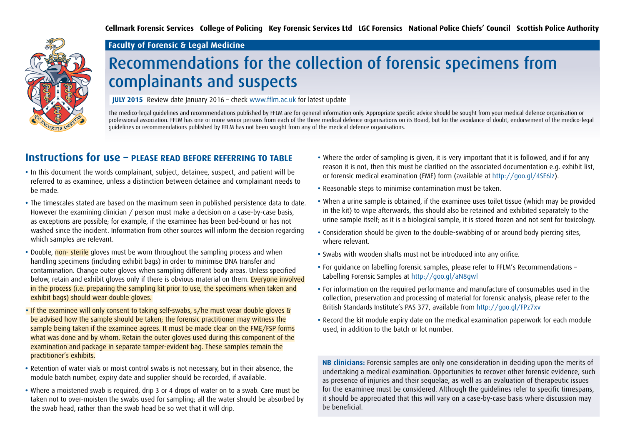**Cellmark Forensic Services College of Policing Key Forensic Services Ltd LGC Forensics National Police Chiefs' Council Scottish Police Authority**



#### **Faculty of Forensic & Legal Medicine**

## Recommendations for the collection of forensic specimens from complainants and suspects

**JULY 2015** Review date January 2016 – check www.fflm.ac.uk for latest update

The medico-legal guidelines and recommendations published by FFLM are for general information only. Appropriate specific advice should be sought from your medical defence organisation or professional association. FFLM has one or more senior persons from each of the three medical defence organisations on its Board, but for the avoidance of doubt, endorsement of the medico-legal guidelines or recommendations published by FFLM has not been sought from any of the medical defence organisations.

#### **Instructions for use – PLEASE READ BEFORE REFERRING TO TABLE**

- In this document the words complainant, subject, detainee, suspect, and patient will be referred to as examinee, unless a distinction between detainee and complainant needs to be made.
- The timescales stated are based on the maximum seen in published persistence data to date. However the examining clinician / person must make a decision on a case-by-case basis, as exceptions are possible; for example, if the examinee has been bed-bound or has not washed since the incident. Information from other sources will inform the decision regarding which samples are relevant.
- Double, non- sterile gloves must be worn throughout the sampling process and when handling specimens (including exhibit bags) in order to minimise DNA transfer and contamination. Change outer gloves when sampling different body areas. Unless specified below, retain and exhibit gloves only if there is obvious material on them. Everyone involved in the process (i.e. preparing the sampling kit prior to use, the specimens when taken and exhibit bags) should wear double gloves.
- If the examinee will only consent to taking self-swabs, s/he must wear double gloves & be advised how the sample should be taken; the forensic practitioner may witness the sample being taken if the examinee agrees. It must be made clear on the FME/FSP forms what was done and by whom. Retain the outer gloves used during this component of the examination and package in separate tamper-evident bag. These samples remain the practitioner's exhibits.
- Retention of water vials or moist control swabs is not necessary, but in their absence, the module batch number, expiry date and supplier should be recorded, if available.
- Where a moistened swab is required, drip 3 or 4 drops of water on to a swab. Care must be taken not to over-moisten the swabs used for sampling; all the water should be absorbed by the swab head, rather than the swab head be so wet that it will drip.
- Where the order of sampling is given, it is very important that it is followed, and if for any reason it is not, then this must be clarified on the associated documentation e.g. exhibit list, or forensic medical examination (FME) form (available at http://goo.gl/4SE6lz).
- Reasonable steps to minimise contamination must be taken.
- When a urine sample is obtained, if the examinee uses toilet tissue (which may be provided in the kit) to wipe afterwards, this should also be retained and exhibited separately to the urine sample itself; as it is a biological sample, it is stored frozen and not sent for toxicology.
- Consideration should be given to the double-swabbing of or around body piercing sites, where relevant.
- Swabs with wooden shafts must not be introduced into any orifice.
- For guidance on labelling forensic samples, please refer to FFLM's Recommendations Labelling Forensic Samples at<http://goo.gl/aN8gwl>
- For information on the required performance and manufacture of consumables used in the collection, preservation and processing of material for forensic analysis, please refer to the British Standards Institute's PAS 377, available from<http://goo.gl/FPz7xv>
- Record the kit module expiry date on the medical examination paperwork for each module used, in addition to the batch or lot number.

**NB clinicians:** Forensic samples are only one consideration in deciding upon the merits of undertaking a medical examination. Opportunities to recover other forensic evidence, such as presence of injuries and their sequelae, as well as an evaluation of therapeutic issues for the examinee must be considered. Although the guidelines refer to specific timespans, it should be appreciated that this will vary on a case-by-case basis where discussion may be beneficial.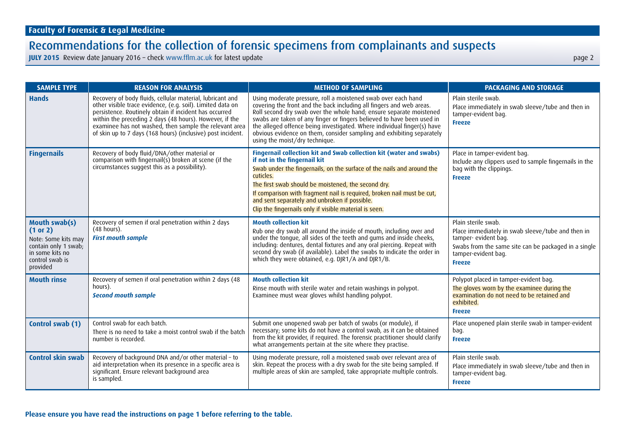| <b>SAMPLE TYPE</b>                                                                                                         | <b>REASON FOR ANALYSIS</b>                                                                                                                                                                                                                                                                                                                                            | <b>METHOD OF SAMPLING</b>                                                                                                                                                                                                                                                                                                                                                                                                                                                    | <b>PACKAGING AND STORAGE</b>                                                                                                                                                                     |
|----------------------------------------------------------------------------------------------------------------------------|-----------------------------------------------------------------------------------------------------------------------------------------------------------------------------------------------------------------------------------------------------------------------------------------------------------------------------------------------------------------------|------------------------------------------------------------------------------------------------------------------------------------------------------------------------------------------------------------------------------------------------------------------------------------------------------------------------------------------------------------------------------------------------------------------------------------------------------------------------------|--------------------------------------------------------------------------------------------------------------------------------------------------------------------------------------------------|
| <b>Hands</b>                                                                                                               | Recovery of body fluids, cellular material, lubricant and<br>other visible trace evidence, (e.g. soil). Limited data on<br>persistence. Routinely obtain if incident has occurred<br>within the preceding 2 days (48 hours). However, if the<br>examinee has not washed, then sample the relevant area<br>of skin up to 7 days (168 hours) (inclusive) post incident. | Using moderate pressure, roll a moistened swab over each hand<br>covering the front and the back including all fingers and web areas.<br>Roll second dry swab over the whole hand; ensure separate moistened<br>swabs are taken of any finger or fingers believed to have been used in<br>the alleged offence being investigated. Where individual finger(s) have<br>obvious evidence on them, consider sampling and exhibiting separately<br>using the moist/dry technique. | Plain sterile swab.<br>Place immediately in swab sleeve/tube and then in<br>tamper-evident bag.<br><b>Freeze</b>                                                                                 |
| <b>Fingernails</b>                                                                                                         | Recovery of body fluid/DNA/other material or<br>comparison with fingernail(s) broken at scene (if the<br>circumstances suggest this as a possibility).                                                                                                                                                                                                                | Fingernail collection kit and Swab collection kit (water and swabs)<br>if not in the fingernail kit<br>Swab under the fingernails, on the surface of the nails and around the<br>cuticles.<br>The first swab should be moistened, the second dry.<br>If comparison with fragment nail is required, broken nail must be cut,<br>and sent separately and unbroken if possible.<br>Clip the fingernails only if visible material is seen.                                       | Place in tamper-evident bag.<br>Include any clippers used to sample fingernails in the<br>bag with the clippings.<br><b>Freeze</b>                                                               |
| Mouth swab(s)<br>(1 or 2)<br>Note: Some kits may<br>contain only 1 swab;<br>in some kits no<br>control swab is<br>provided | Recovery of semen if oral penetration within 2 days<br>(48 hours).<br><b>First mouth sample</b>                                                                                                                                                                                                                                                                       | <b>Mouth collection kit</b><br>Rub one dry swab all around the inside of mouth, including over and<br>under the tongue, all sides of the teeth and gums and inside cheeks,<br>including: dentures, dental fixtures and any oral piercing. Repeat with<br>second dry swab (if available). Label the swabs to indicate the order in<br>which they were obtained, e.g. DJR1/A and DJR1/B.                                                                                       | Plain sterile swab.<br>Place immediately in swab sleeve/tube and then in<br>tamper- evident bag.<br>Swabs from the same site can be packaged in a single<br>tamper-evident bag.<br><b>Freeze</b> |
| <b>Mouth rinse</b>                                                                                                         | Recovery of semen if oral penetration within 2 days (48<br>hours).<br><b>Second mouth sample</b>                                                                                                                                                                                                                                                                      | <b>Mouth collection kit</b><br>Rinse mouth with sterile water and retain washings in polypot.<br>Examinee must wear gloves whilst handling polypot.                                                                                                                                                                                                                                                                                                                          | Polypot placed in tamper-evident bag.<br>The gloves worn by the examinee during the<br>examination do not need to be retained and<br>exhibited.<br><b>Freeze</b>                                 |
| Control swab (1)                                                                                                           | Control swab for each batch.<br>There is no need to take a moist control swab if the batch<br>number is recorded.                                                                                                                                                                                                                                                     | Submit one unopened swab per batch of swabs (or module), if<br>necessary; some kits do not have a control swab, as it can be obtained<br>from the kit provider, if required. The forensic practitioner should clarify<br>what arrangements pertain at the site where they practise.                                                                                                                                                                                          | Place unopened plain sterile swab in tamper-evident<br>bag.<br><b>Freeze</b>                                                                                                                     |
| <b>Control skin swab</b>                                                                                                   | Recovery of background DNA and/or other material - to<br>aid interpretation when its presence in a specific area is<br>significant. Ensure relevant background area<br>is sampled.                                                                                                                                                                                    | Using moderate pressure, roll a moistened swab over relevant area of<br>skin. Repeat the process with a dry swab for the site being sampled. If<br>multiple areas of skin are sampled, take appropriate multiple controls.                                                                                                                                                                                                                                                   | Plain sterile swab.<br>Place immediately in swab sleeve/tube and then in<br>tamper-evident bag.<br><b>Freeze</b>                                                                                 |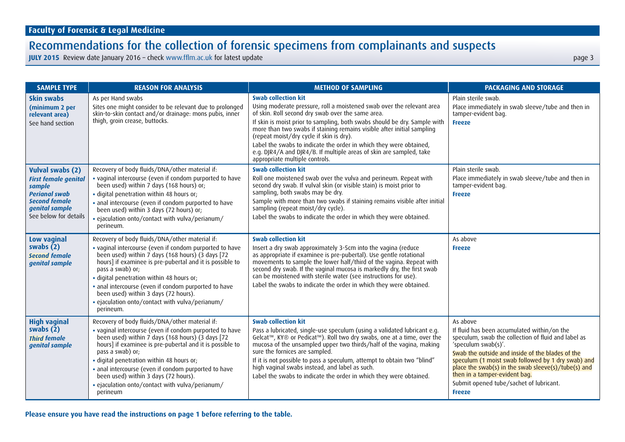**JULY 2015** Review date January 2016 – check<www.fflm.ac.uk> for latest update page 3

| <b>SAMPLE TYPE</b>                                                                                                                                          | <b>REASON FOR ANALYSIS</b>                                                                                                                                                                                                                                                                                                                                                                                                                                                    | <b>METHOD OF SAMPLING</b>                                                                                                                                                                                                                                                                                                                                                                                                                                                                                                                  | <b>PACKAGING AND STORAGE</b>                                                                                                                                                                                                                                                                                                                                                                        |
|-------------------------------------------------------------------------------------------------------------------------------------------------------------|-------------------------------------------------------------------------------------------------------------------------------------------------------------------------------------------------------------------------------------------------------------------------------------------------------------------------------------------------------------------------------------------------------------------------------------------------------------------------------|--------------------------------------------------------------------------------------------------------------------------------------------------------------------------------------------------------------------------------------------------------------------------------------------------------------------------------------------------------------------------------------------------------------------------------------------------------------------------------------------------------------------------------------------|-----------------------------------------------------------------------------------------------------------------------------------------------------------------------------------------------------------------------------------------------------------------------------------------------------------------------------------------------------------------------------------------------------|
| Skin swabs<br>(minimum 2 per<br>relevant area)<br>See hand section                                                                                          | As per Hand swabs<br>Sites one might consider to be relevant due to prolonged<br>skin-to-skin contact and/or drainage: mons pubis, inner<br>thigh, groin crease, buttocks.                                                                                                                                                                                                                                                                                                    | <b>Swab collection kit</b><br>Using moderate pressure, roll a moistened swab over the relevant area<br>of skin. Roll second dry swab over the same area.<br>If skin is moist prior to sampling, both swabs should be dry. Sample with<br>more than two swabs if staining remains visible after initial sampling<br>(repeat moist/dry cycle if skin is dry).<br>Label the swabs to indicate the order in which they were obtained,<br>e.g. DJR4/A and DJR4/B. If multiple areas of skin are sampled, take<br>appropriate multiple controls. | Plain sterile swab.<br>Place immediately in swab sleeve/tube and then in<br>tamper-evident bag.<br><b>Freeze</b>                                                                                                                                                                                                                                                                                    |
| <b>Vulval swabs (2)</b><br><b>First female genital</b><br>sample<br><b>Perianal swab</b><br><b>Second female</b><br>genital sample<br>See below for details | Recovery of body fluids/DNA/other material if:<br>• vaginal intercourse (even if condom purported to have<br>been used) within 7 days (168 hours) or;<br>· digital penetration within 48 hours or;<br>• anal intercourse (even if condom purported to have<br>been used) within 3 days (72 hours) or;<br>· ejaculation onto/contact with vulva/perianum/<br>perineum.                                                                                                         | <b>Swab collection kit</b><br>Roll one moistened swab over the vulva and perineum. Repeat with<br>second dry swab. If vulval skin (or visible stain) is moist prior to<br>sampling, both swabs may be dry.<br>Sample with more than two swabs if staining remains visible after initial<br>sampling (repeat moist/dry cycle).<br>Label the swabs to indicate the order in which they were obtained.                                                                                                                                        | Plain sterile swab.<br>Place immediately in swab sleeve/tube and then in<br>tamper-evident bag.<br><b>Freeze</b>                                                                                                                                                                                                                                                                                    |
| Low vaginal<br>swabs $(2)$<br><b>Second female</b><br>genital sample                                                                                        | Recovery of body fluids/DNA/other material if:<br>. vaginal intercourse (even if condom purported to have<br>been used) within $\overrightarrow{7}$ days (168 hours) (3 days [72<br>hours] if examinee is pre-pubertal and it is possible to<br>pass a swab) or;<br>· digital penetration within 48 hours or;<br>· anal intercourse (even if condom purported to have<br>been used) within 3 days (72 hours).<br>• ejaculation onto/contact with vulva/perianum/<br>perineum. | <b>Swab collection kit</b><br>Insert a dry swab approximately 3-5cm into the vagina (reduce<br>as appropriate if examinee is pre-pubertal). Use gentle rotational<br>movements to sample the lower half/third of the vagina. Repeat with<br>second dry swab. If the vaginal mucosa is markedly dry, the first swab<br>can be moistened with sterile water (see instructions for use).<br>Label the swabs to indicate the order in which they were obtained.                                                                                | As above<br><b>Freeze</b>                                                                                                                                                                                                                                                                                                                                                                           |
| <b>High vaginal</b><br>swabs $(\bar{2})$<br><b>Third female</b><br>genital sample                                                                           | Recovery of body fluids/DNA/other material if:<br>· vaginal intercourse (even if condom purported to have<br>been used) within 7 days (168 hours) (3 days [72<br>hours] if examinee is pre-pubertal and it is possible to<br>pass a swab) or;<br>· digital penetration within 48 hours or;<br>• anal intercourse (even if condom purported to have<br>been used) within 3 days (72 hours).<br>• ejaculation onto/contact with vulva/perianum/<br>perineum                     | <b>Swab collection kit</b><br>Pass a lubricated, single-use speculum (using a validated lubricant e.g.<br>Gelcat <sup>™</sup> , KY® or Pedicat™). Roll two dry swabs, one at a time, over the<br>mucosa of the unsampled upper two thirds/half of the vagina, making<br>sure the fornices are sampled.<br>If it is not possible to pass a speculum, attempt to obtain two "blind"<br>high vaginal swabs instead, and label as such.<br>Label the swabs to indicate the order in which they were obtained.                                  | As above<br>If fluid has been accumulated within/on the<br>speculum, swab the collection of fluid and label as<br>'speculum swab(s)'.<br>Swab the outside and inside of the blades of the<br>speculum (1 moist swab followed by 1 dry swab) and<br>place the swab(s) in the swab sleeve(s)/tube(s) and<br>then in a tamper-evident bag.<br>Submit opened tube/sachet of lubricant.<br><b>Freeze</b> |

**Please ensure you have read the instructions on page 1 before referring to the table.**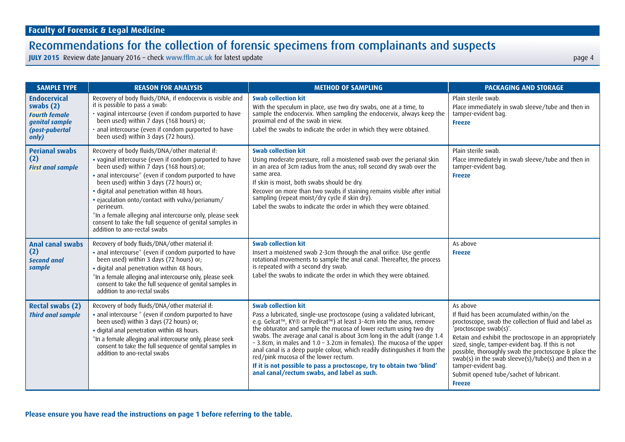| <b>SAMPLE TYPE</b>                                                                                      | <b>REASON FOR ANALYSIS</b>                                                                                                                                                                                                                                                                                                                                                                                                                                                                                                      | <b>METHOD OF SAMPLING</b>                                                                                                                                                                                                                                                                                                                                                                                                                                                                                                                                                                                                                                                                  | <b>PACKAGING AND STORAGE</b>                                                                                                                                                                                                                                                                                                                                                                                                                                  |
|---------------------------------------------------------------------------------------------------------|---------------------------------------------------------------------------------------------------------------------------------------------------------------------------------------------------------------------------------------------------------------------------------------------------------------------------------------------------------------------------------------------------------------------------------------------------------------------------------------------------------------------------------|--------------------------------------------------------------------------------------------------------------------------------------------------------------------------------------------------------------------------------------------------------------------------------------------------------------------------------------------------------------------------------------------------------------------------------------------------------------------------------------------------------------------------------------------------------------------------------------------------------------------------------------------------------------------------------------------|---------------------------------------------------------------------------------------------------------------------------------------------------------------------------------------------------------------------------------------------------------------------------------------------------------------------------------------------------------------------------------------------------------------------------------------------------------------|
| <b>Endocervical</b><br>swabs $(2)$<br><b>Fourth female</b><br>genital sample<br>(post-pubertal<br>only) | Recovery of body fluids/DNA, if endocervix is visible and<br>it is possible to pass a swab:<br>· vaginal intercourse (even if condom purported to have<br>been used) within 7 days (168 hours) or;<br>· anal intercourse (even if condom purported to have<br>been used) within 3 days (72 hours).                                                                                                                                                                                                                              | <b>Swab collection kit</b><br>With the speculum in place, use two dry swabs, one at a time, to<br>sample the endocervix. When sampling the endocervix, always keep the<br>proximal end of the swab in view.<br>Label the swabs to indicate the order in which they were obtained.                                                                                                                                                                                                                                                                                                                                                                                                          | Plain sterile swab.<br>Place immediately in swab sleeve/tube and then in<br>tamper-evident bag.<br><b>Freeze</b>                                                                                                                                                                                                                                                                                                                                              |
| <b>Perianal swabs</b><br>(2)<br><b>First anal sample</b>                                                | Recovery of body fluids/DNA/other material if:<br>· vaginal intercourse (even if condom purported to have<br>been used) within 7 days (168 hours).or;<br>· anal intercourse* (even if condom purported to have<br>been used) within 3 days (72 hours) or;<br>· digital anal penetration within 48 hours.<br>• ejaculation onto/contact with vulva/perianum/<br>perineum.<br>*In a female alleging anal intercourse only, please seek<br>consent to take the full sequence of genital samples in<br>addition to ano-rectal swabs | <b>Swab collection kit</b><br>Using moderate pressure, roll a moistened swab over the perianal skin<br>in an area of 3cm radius from the anus; roll second dry swab over the<br>same area.<br>If skin is moist, both swabs should be dry.<br>Recover on more than two swabs if staining remains visible after initial<br>sampling (repeat moist/dry cycle if skin dry).<br>Label the swabs to indicate the order in which they were obtained.                                                                                                                                                                                                                                              | Plain sterile swab.<br>Place immediately in swab sleeve/tube and then in<br>tamper-evident bag.<br><b>Freeze</b>                                                                                                                                                                                                                                                                                                                                              |
| <b>Anal canal swabs</b><br>(2)<br><b>Second anal</b><br>sample                                          | Recovery of body fluids/DNA/other material if:<br>· anal intercourse* (even if condom purported to have<br>been used) within 3 days (72 hours) or;<br>· digital anal penetration within 48 hours.<br>*In a female alleging anal intercourse only, please seek<br>consent to take the full sequence of genital samples in<br>addition to ano-rectal swabs                                                                                                                                                                        | <b>Swab collection kit</b><br>Insert a moistened swab 2-3cm through the anal orifice. Use gentle<br>rotational movements to sample the anal canal. Thereafter, the process<br>is repeated with a second dry swab.<br>Label the swabs to indicate the order in which they were obtained.                                                                                                                                                                                                                                                                                                                                                                                                    | As above<br><b>Freeze</b>                                                                                                                                                                                                                                                                                                                                                                                                                                     |
| <b>Rectal swabs (2)</b><br><b>Third anal sample</b>                                                     | Recovery of body fluids/DNA/other material if:<br>• anal intercourse * (even if condom purported to have<br>been used) within 3 days (72 hours) or;<br>· digital anal penetration within 48 hours.<br>*In a female alleging anal intercourse only, please seek<br>consent to take the full sequence of genital samples in<br>addition to ano-rectal swabs                                                                                                                                                                       | <b>Swab collection kit</b><br>Pass a lubricated, single-use proctoscope (using a validated lubricant,<br>e.g. Gelcat <sup>™</sup> , KY <sup>®</sup> or Pedicat <sup>™</sup> ) at least 3-4cm into the anus, remove<br>the obturator and sample the mucosa of lower rectum using two dry<br>swabs. The average anal canal is about 3cm long in the adult (range 1.4<br>-3.8cm, in males and 1.0 -3.2cm in females). The mucosa of the upper<br>anal canal is a deep purple colour, which readily distinguishes it from the<br>red/pink mucosa of the lower rectum.<br>If it is not possible to pass a proctoscope, try to obtain two 'blind'<br>anal canal/rectum swabs, and label as such. | As above<br>If fluid has been accumulated within/on the<br>proctoscope, swab the collection of fluid and label as<br>'proctoscope swab(s)'.<br>Retain and exhibit the proctoscope in an appropriately<br>sized, single, tamper-evident bag. If this is not<br>possible, thoroughly swab the proctoscope & place the<br>swab(s) in the swab sleeve(s)/tube(s) and then in a<br>tamper-evident bag.<br>Submit opened tube/sachet of lubricant.<br><b>Freeze</b> |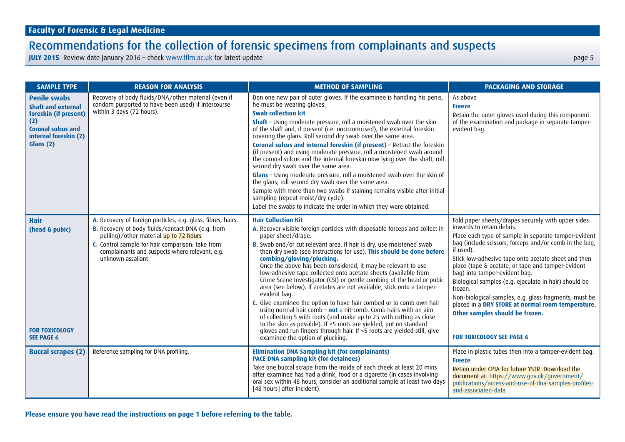| <b>SAMPLE TYPE</b>                                                                                                                                  | <b>REASON FOR ANALYSIS</b>                                                                                                                                                                                                                                                             | <b>METHOD OF SAMPLING</b>                                                                                                                                                                                                                                                                                                                                                                                                                                                                                                                                                                                                                                                                                                                                                                                                                                                                                                                                                                                                 | <b>PACKAGING AND STORAGE</b>                                                                                                                                                                                                                                                                                                                                                                                                                                                                                                                                                                                         |
|-----------------------------------------------------------------------------------------------------------------------------------------------------|----------------------------------------------------------------------------------------------------------------------------------------------------------------------------------------------------------------------------------------------------------------------------------------|---------------------------------------------------------------------------------------------------------------------------------------------------------------------------------------------------------------------------------------------------------------------------------------------------------------------------------------------------------------------------------------------------------------------------------------------------------------------------------------------------------------------------------------------------------------------------------------------------------------------------------------------------------------------------------------------------------------------------------------------------------------------------------------------------------------------------------------------------------------------------------------------------------------------------------------------------------------------------------------------------------------------------|----------------------------------------------------------------------------------------------------------------------------------------------------------------------------------------------------------------------------------------------------------------------------------------------------------------------------------------------------------------------------------------------------------------------------------------------------------------------------------------------------------------------------------------------------------------------------------------------------------------------|
| <b>Penile swabs</b><br><b>Shaft and external</b><br>foreskin (if present)<br>(2)<br><b>Coronal sulcus and</b><br>internal foreskin (2)<br>Glans (2) | Recovery of body fluids/DNA/other material (even if<br>condom purported to have been used) if intercourse<br>within 3 days (72 hours).                                                                                                                                                 | Don one new pair of outer gloves. If the examinee is handling his penis,<br>he must be wearing gloves.<br><b>Swab collection kit</b><br><b>Shaft</b> - Using moderate pressure, roll a moistened swab over the skin<br>of the shaft and, if present (i.e. uncircumcised), the external foreskin<br>covering the glans. Roll second dry swab over the same area.<br>Coronal sulcus and internal foreskin (if present) - Retract the foreskin<br>(if present) and using moderate pressure, roll a moistened swab around<br>the coronal sulcus and the internal foreskin now lying over the shaft; roll<br>second dry swab over the same area.<br>Glans - Using moderate pressure, roll a moistened swab over the skin of<br>the glans; roll second dry swab over the same area.<br>Sample with more than two swabs if staining remains visible after initial<br>sampling (repeat moist/dry cycle).<br>Label the swabs to indicate the order in which they were obtained.                                                    | As above<br><b>Freeze</b><br>Retain the outer gloves used during this component<br>of the examination and package in separate tamper-<br>evident bag.                                                                                                                                                                                                                                                                                                                                                                                                                                                                |
| <b>Hair</b><br>(head & pubic)<br><b>FOR TOXICOLOGY</b><br><b>SEE PAGE 6</b>                                                                         | A. Recovery of foreign particles, e.g. glass, fibres, hairs.<br>B. Recovery of body fluids/contact DNA (e.g. from<br>pulling)/other material up to 72 hours<br>C. Control sample for hair comparison: take from<br>complainants and suspects where relevant, e.g.<br>unknown assailant | <b>Hair Collection Kit</b><br>A. Recover visible foreign particles with disposable forceps and collect in<br>paper sheet/drape.<br>B. Swab and/or cut relevant area. If hair is dry, use moistened swab<br>then dry swab (see instructions for use). This should be done before<br>combing/gloving/plucking.<br>Once the above has been considered, it may be relevant to use<br>low-adhesive tape collected onto acetate sheets (available from<br>Crime Scene Investigator (CSI) or gentle combing of the head or pubic<br>area (see below). If acetates are not available, stick onto a tamper-<br>evident bag.<br>C. Give examinee the option to have hair combed or to comb own hair<br>using normal hair comb - not a nit-comb. Comb hairs with an aim<br>of collecting 5 with roots (and make up to 25 with cutting as close<br>to the skin as possible). If <5 roots are yielded, put on standard<br>gloves and run fingers through hair. If <5 roots are yielded still, give<br>examinee the option of plucking. | Fold paper sheets/drapes securely with upper sides<br>inwards to retain debris.<br>Place each type of sample in separate tamper-evident<br>bag (include scissors, forceps and/or comb in the bag,<br>if used).<br>Stick low-adhesive tape onto acetate sheet and then<br>place (tape & acetate, or tape and tamper-evident<br>bag) into tamper-evident bag.<br>Biological samples (e.g. ejaculate in hair) should be<br>frozen.<br>Non-biological samples, e.g. glass fragments, must be<br>placed in a DRY STORE at normal room temperature.<br>Other samples should be frozen.<br><b>FOR TOXICOLOGY SEE PAGE 6</b> |
| <b>Buccal scrapes (2)</b>                                                                                                                           | Reference sampling for DNA profiling.                                                                                                                                                                                                                                                  | <b>Elimination DNA Sampling kit (for complainants)</b><br><b>PACE DNA sampling kit (for detainees)</b><br>Take one buccal scrape from the inside of each cheek at least 20 mins<br>after examinee has had a drink, food or a cigarette (in cases involving<br>oral sex within 48 hours, consider an additional sample at least two days<br>[48 hours] after incident).                                                                                                                                                                                                                                                                                                                                                                                                                                                                                                                                                                                                                                                    | Place in plastic tubes then into a tamper-evident bag.<br><b>Freeze</b><br>Retain under CPIA for future YSTR. Download the<br>document at: https://www.gov.uk/government/<br>publications/access-and-use-of-dna-samples-profiles-<br>and-associated-data                                                                                                                                                                                                                                                                                                                                                             |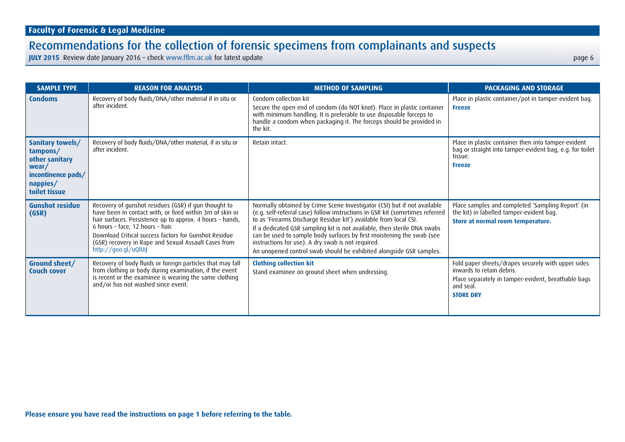| <b>SAMPLE TYPE</b>                                                                                         | <b>REASON FOR ANALYSIS</b>                                                                                                                                                                                                                                                                                                                                 | <b>METHOD OF SAMPLING</b>                                                                                                                                                                                                                                                                                                                                                                                                                                                                                       | <b>PACKAGING AND STORAGE</b>                                                                                                                                            |
|------------------------------------------------------------------------------------------------------------|------------------------------------------------------------------------------------------------------------------------------------------------------------------------------------------------------------------------------------------------------------------------------------------------------------------------------------------------------------|-----------------------------------------------------------------------------------------------------------------------------------------------------------------------------------------------------------------------------------------------------------------------------------------------------------------------------------------------------------------------------------------------------------------------------------------------------------------------------------------------------------------|-------------------------------------------------------------------------------------------------------------------------------------------------------------------------|
| <b>Condoms</b>                                                                                             | Recovery of body fluids/DNA/other material if in situ or<br>after incident.                                                                                                                                                                                                                                                                                | Condom collection kit<br>Secure the open end of condom (do NOT knot). Place in plastic container<br>with minimum handling. It is preferable to use disposable forceps to<br>handle a condom when packaging it. The forceps should be provided in<br>the kit.                                                                                                                                                                                                                                                    | Place in plastic container/pot in tamper-evident bag.<br><b>Freeze</b>                                                                                                  |
| Sanitary towels/<br>tampons/<br>other sanitary<br>wear/<br>incontinence pads/<br>nappies/<br>toilet tissue | Recovery of body fluids/DNA/other material, if in situ or<br>after incident.                                                                                                                                                                                                                                                                               | Retain intact.                                                                                                                                                                                                                                                                                                                                                                                                                                                                                                  | Place in plastic container then into tamper-evident<br>bag or straight into tamper-evident bag, e.g. for toilet<br>tissue.<br><b>Freeze</b>                             |
| <b>Gunshot residue</b><br>(GSR)                                                                            | Recovery of gunshot residues (GSR) if gun thought to<br>have been in contact with, or fired within 3m of skin or<br>hair surfaces. Persistence up to approx. 4 hours - hands,<br>6 hours - face, 12 hours - hair.<br>Download Critical success factors for Gunshot Residue<br>(GSR) recovery in Rape and Sexual Assault Cases from<br>http://goo.gl/uQlUiJ | Normally obtained by Crime Scene Investigator (CSI) but if not available<br>(e.g. self-referral case) follow instructions in GSR kit (sometimes referred<br>to as 'Firearms Discharge Residue kit') available from local CSI.<br>If a dedicated GSR sampling kit is not available, then sterile DNA swabs<br>can be used to sample body surfaces by first moistening the swab (see<br>instructions for use). A dry swab is not required.<br>An unopened control swab should be exhibited alongside GSR samples. | Place samples and completed 'Sampling Report' (in<br>the kit) in labelled tamper-evident bag.<br>Store at normal room temperature.                                      |
| Ground sheet/<br><b>Couch cover</b>                                                                        | Recovery of body fluids or foreign particles that may fall<br>from clothing or body during examination, if the event<br>is recent or the examinee is wearing the same clothing<br>and/or has not washed since event.                                                                                                                                       | <b>Clothing collection kit</b><br>Stand examinee on ground sheet when undressing.                                                                                                                                                                                                                                                                                                                                                                                                                               | Fold paper sheets/drapes securely with upper sides<br>inwards to retain debris.<br>Place separately in tamper-evident, breathable bags<br>and seal.<br><b>STORE DRY</b> |